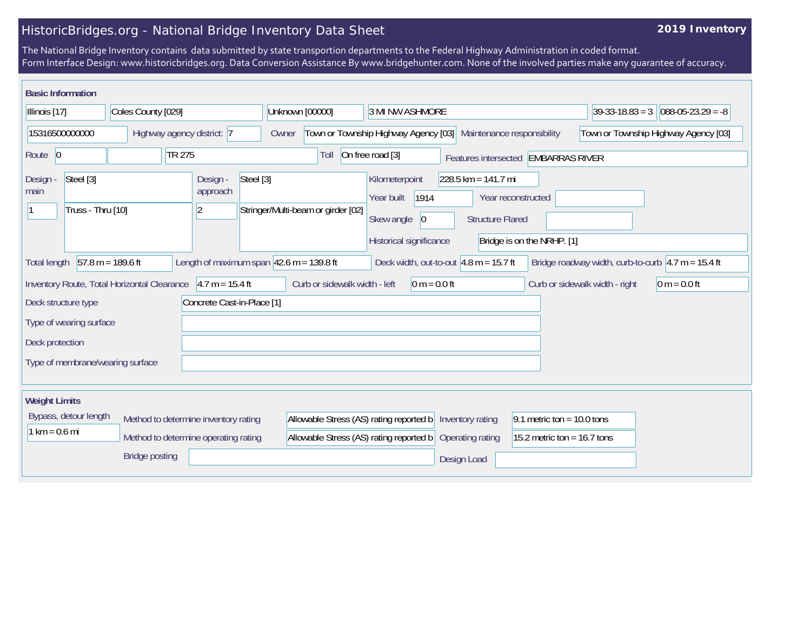## HistoricBridges.org - National Bridge Inventory Data Sheet

## **2019 Inventory**

The National Bridge Inventory contains data submitted by state transportion departments to the Federal Highway Administration in coded format. Form Interface Design: www.historicbridges.org. Data Conversion Assistance By www.bridgehunter.com. None of the involved parties make any guarantee of accuracy.

| <b>Basic Information</b>                                      |                                             |                                                     |                                                              |                                                                                                                                          |                                                  |                                                             |
|---------------------------------------------------------------|---------------------------------------------|-----------------------------------------------------|--------------------------------------------------------------|------------------------------------------------------------------------------------------------------------------------------------------|--------------------------------------------------|-------------------------------------------------------------|
| Coles County [029]<br>Illinois [17]                           |                                             |                                                     | Unknown [00000]                                              | 3 MI NW ASHMORE                                                                                                                          |                                                  | $088-05-23.29 = -8$<br>$ 39-33-18.83=3 $                    |
| 15316500000000<br>Highway agency district: 7                  |                                             |                                                     | Owner                                                        | Town or Township Highway Agency [03]<br>Maintenance responsibility                                                                       |                                                  | Town or Township Highway Agency [03]                        |
| Route 0                                                       | TR 275                                      |                                                     | Toll                                                         | On free road [3]                                                                                                                         | Features intersected EMBARRAS RIVER              |                                                             |
| Steel [3]<br>Design -<br>main<br>Truss - Thru [10]            |                                             | Design -<br>Steel [3]<br>approach<br>$\overline{2}$ | Stringer/Multi-beam or girder [02]                           | $228.5$ km = 141.7 mi<br>Kilometerpoint<br>1914<br>Year built<br>Skew angle<br> 0 <br><b>Structure Flared</b><br>Historical significance | Year reconstructed<br>Bridge is on the NRHP. [1] |                                                             |
| <b>Total length</b>                                           | $57.8 m = 189.6 ft$                         |                                                     | Length of maximum span $ 42.6 \text{ m} = 139.8 \text{ ft} $ | Deck width, out-to-out $4.8$ m = 15.7 ft                                                                                                 |                                                  | Bridge roadway width, curb-to-curb $\sqrt{4.7}$ m = 15.4 ft |
|                                                               | Inventory Route, Total Horizontal Clearance | $4.7 m = 15.4 ft$                                   | Curb or sidewalk width - left                                | $0 m = 0.0 ft$                                                                                                                           |                                                  | $0 m = 0.0 ft$<br>Curb or sidewalk width - right            |
| Deck structure type                                           |                                             | Concrete Cast-in-Place [1]                          |                                                              |                                                                                                                                          |                                                  |                                                             |
| Type of wearing surface                                       |                                             |                                                     |                                                              |                                                                                                                                          |                                                  |                                                             |
| Deck protection                                               |                                             |                                                     |                                                              |                                                                                                                                          |                                                  |                                                             |
| Type of membrane/wearing surface                              |                                             |                                                     |                                                              |                                                                                                                                          |                                                  |                                                             |
| <b>Weight Limits</b>                                          |                                             |                                                     |                                                              |                                                                                                                                          |                                                  |                                                             |
| Bypass, detour length<br>Method to determine inventory rating |                                             |                                                     | Allowable Stress (AS) rating reported b                      | Inventory rating                                                                                                                         | 9.1 metric ton = $10.0$ tons                     |                                                             |
| $1 km = 0.6 mi$                                               |                                             | Method to determine operating rating                | Allowable Stress (AS) rating reported b                      | Operating rating                                                                                                                         | 15.2 metric ton = $16.7$ tons                    |                                                             |
|                                                               | <b>Bridge posting</b>                       |                                                     |                                                              | Design Load                                                                                                                              |                                                  |                                                             |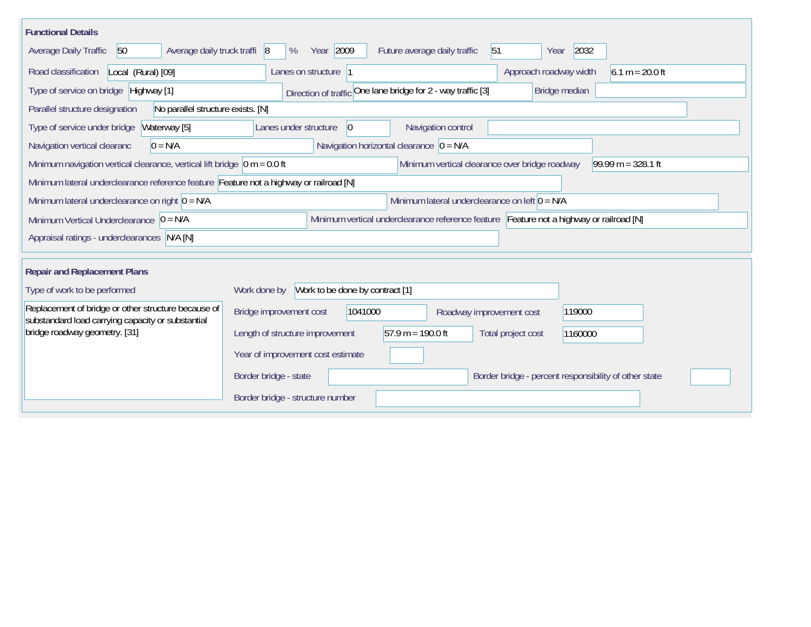| <b>Functional Details</b>                                                                                                                                  |                                                                                         |  |  |  |  |  |  |  |  |  |
|------------------------------------------------------------------------------------------------------------------------------------------------------------|-----------------------------------------------------------------------------------------|--|--|--|--|--|--|--|--|--|
| Average daily truck traffi 8<br>Average Daily Traffic<br>50                                                                                                | Year 2009<br>51<br>2032<br>Future average daily traffic<br>%<br>Year                    |  |  |  |  |  |  |  |  |  |
| Road classification<br>Local (Rural) [09]                                                                                                                  | $6.1 m = 20.0 ft$<br>Lanes on structure<br>Approach roadway width                       |  |  |  |  |  |  |  |  |  |
| Type of service on bridge Highway [1]                                                                                                                      | Direction of traffic One lane bridge for 2 - way traffic [3]<br>Bridge median           |  |  |  |  |  |  |  |  |  |
| No parallel structure exists. [N]<br>Parallel structure designation                                                                                        |                                                                                         |  |  |  |  |  |  |  |  |  |
| Type of service under bridge<br>Waterway [5]                                                                                                               | Navigation control<br>Lanes under structure<br>$ 0\rangle$                              |  |  |  |  |  |  |  |  |  |
| Navigation horizontal clearance $\overline{0} = N/A$<br>$0 = N/A$<br>Navigation vertical clearanc                                                          |                                                                                         |  |  |  |  |  |  |  |  |  |
| $99.99 m = 328.1 ft$<br>Minimum navigation vertical clearance, vertical lift bridge $\vert$ 0 m = 0.0 ft<br>Minimum vertical clearance over bridge roadway |                                                                                         |  |  |  |  |  |  |  |  |  |
| Minimum lateral underclearance reference feature Feature not a highway or railroad [N]                                                                     |                                                                                         |  |  |  |  |  |  |  |  |  |
| Minimum lateral underclearance on right $0 = N/A$                                                                                                          | Minimum lateral underclearance on left $0 = N/A$                                        |  |  |  |  |  |  |  |  |  |
| Minimum Vertical Underclearance $ 0 = N/A$                                                                                                                 | Minimum vertical underclearance reference feature Feature not a highway or railroad [N] |  |  |  |  |  |  |  |  |  |
| Appraisal ratings - underclearances N/A [N]                                                                                                                |                                                                                         |  |  |  |  |  |  |  |  |  |
|                                                                                                                                                            |                                                                                         |  |  |  |  |  |  |  |  |  |
| <b>Repair and Replacement Plans</b>                                                                                                                        |                                                                                         |  |  |  |  |  |  |  |  |  |
| Type of work to be performed                                                                                                                               | Work done by Work to be done by contract [1]                                            |  |  |  |  |  |  |  |  |  |
| Replacement of bridge or other structure because of<br>substandard load carrying capacity or substantial                                                   | Bridge improvement cost<br>1041000<br>119000<br>Roadway improvement cost                |  |  |  |  |  |  |  |  |  |
| bridge roadway geometry. [31]                                                                                                                              | $57.9 m = 190.0 ft$<br>Length of structure improvement<br>Total project cost<br>1160000 |  |  |  |  |  |  |  |  |  |
|                                                                                                                                                            | Year of improvement cost estimate                                                       |  |  |  |  |  |  |  |  |  |
|                                                                                                                                                            | Border bridge - state<br>Border bridge - percent responsibility of other state          |  |  |  |  |  |  |  |  |  |
|                                                                                                                                                            | Border bridge - structure number                                                        |  |  |  |  |  |  |  |  |  |